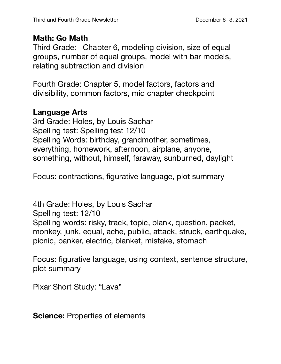## **Math: Go Math**

Third Grade: Chapter 6, modeling division, size of equal groups, number of equal groups, model with bar models, relating subtraction and division

Fourth Grade: Chapter 5, model factors, factors and divisibility, common factors, mid chapter checkpoint

## **Language Arts**

3rd Grade: Holes, by Louis Sachar Spelling test: Spelling test 12/10 Spelling Words: birthday, grandmother, sometimes, everything, homework, afternoon, airplane, anyone, something, without, himself, faraway, sunburned, daylight

Focus: contractions, figurative language, plot summary

4th Grade: Holes, by Louis Sachar Spelling test: 12/10 Spelling words: risky, track, topic, blank, question, packet, monkey, junk, equal, ache, public, attack, struck, earthquake, picnic, banker, electric, blanket, mistake, stomach

Focus: figurative language, using context, sentence structure, plot summary

Pixar Short Study: "Lava"

**Science: Properties of elements**